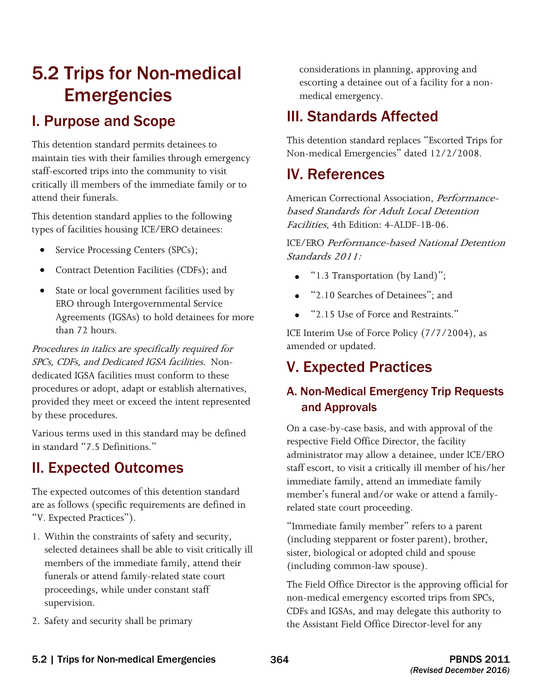# 5.2 Trips for Non-medical **Emergencies**

## I. Purpose and Scope

This detention standard permits detainees to maintain ties with their families through emergency staff-escorted trips into the community to visit critically ill members of the immediate family or to attend their funerals.

This detention standard applies to the following types of facilities housing ICE/ERO detainees:

- Service Processing Centers (SPCs);
- Contract Detention Facilities (CDFs); and
- State or local government facilities used by ERO through Intergovernmental Service Agreements (IGSAs) to hold detainees for more than 72 hours.

 SPCs, CDFs, and Dedicated IGSA facilities. Non-Procedures in italics are specifically required for dedicated IGSA facilities must conform to these procedures or adopt, adapt or establish alternatives, provided they meet or exceed the intent represented by these procedures.

Various terms used in this standard may be defined in standard "7.5 Definitions."

## II. Expected Outcomes

The expected outcomes of this detention standard are as follows (specific requirements are defined in "V. Expected Practices").

- 1. Within the constraints of safety and security, selected detainees shall be able to visit critically ill members of the immediate family, attend their funerals or attend family-related state court proceedings, while under constant staff supervision.
- 2. Safety and security shall be primary

considerations in planning, approving and escorting a detainee out of a facility for a nonmedical emergency.

## III. Standards Affected

This detention standard replaces "Escorted Trips for Non-medical Emergencies" dated 12/2/2008.

## IV. References

American Correctional Association, *Performance*based Standards for Adult Local Detention Facilities, 4th Edition: 4-ALDF-1B-06.

 Standards 2011: ICE/ERO Performance-based National Detention

- " $1.3$  Transportation (by Land)";
- "2.10 Searches of Detainees"; and
- • "2.15 Use of Force and Restraints."

ICE Interim Use of Force Policy (7/7/2004), as amended or updated.

## V. Expected Practices

## A. Non-Medical Emergency Trip Requests and Approvals

On a case-by-case basis, and with approval of the respective Field Office Director, the facility administrator may allow a detainee, under ICE/ERO staff escort, to visit a critically ill member of his/her immediate family, attend an immediate family member's funeral and/or wake or attend a familyrelated state court proceeding.

"Immediate family member" refers to a parent (including stepparent or foster parent), brother, sister, biological or adopted child and spouse (including common-law spouse).

 CDFs and IGSAs, and may delegate this authority to The Field Office Director is the approving official for non-medical emergency escorted trips from SPCs, the Assistant Field Office Director-level for any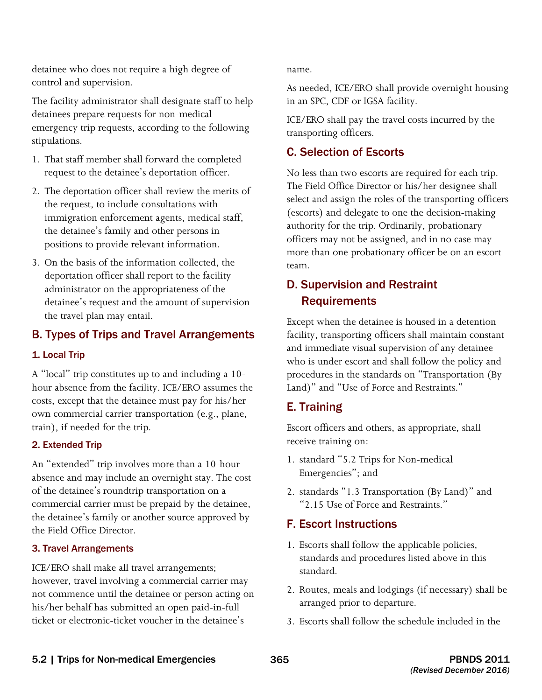detainee who does not require a high degree of control and supervision.

The facility administrator shall designate staff to help detainees prepare requests for non-medical emergency trip requests, according to the following stipulations.

- 1. That staff member shall forward the completed request to the detainee's deportation officer.
- 2. The deportation officer shall review the merits of the request, to include consultations with immigration enforcement agents, medical staff, the detainee's family and other persons in positions to provide relevant information.
- 3. On the basis of the information collected, the deportation officer shall report to the facility administrator on the appropriateness of the detainee's request and the amount of supervision the travel plan may entail.

### B. Types of Trips and Travel Arrangements

#### 1. Local Trip

A "local" trip constitutes up to and including a 10 hour absence from the facility. ICE/ERO assumes the costs, except that the detainee must pay for his/her own commercial carrier transportation (e.g., plane, train), if needed for the trip.

#### 2. Extended Trip

An "extended" trip involves more than a 10-hour absence and may include an overnight stay. The cost of the detainee's roundtrip transportation on a commercial carrier must be prepaid by the detainee, the detainee's family or another source approved by the Field Office Director.

#### 3. Travel Arrangements

 however, travel involving a commercial carrier may ICE/ERO shall make all travel arrangements; not commence until the detainee or person acting on his/her behalf has submitted an open paid-in-full ticket or electronic-ticket voucher in the detainee's

name.

As needed, ICE/ERO shall provide overnight housing in an SPC, CDF or IGSA facility.

ICE/ERO shall pay the travel costs incurred by the transporting officers.

### C. Selection of Escorts

 The Field Office Director or his/her designee shall No less than two escorts are required for each trip. select and assign the roles of the transporting officers (escorts) and delegate to one the decision-making authority for the trip. Ordinarily, probationary officers may not be assigned, and in no case may more than one probationary officer be on an escort team.

### D. Supervision and Restraint **Requirements**

Except when the detainee is housed in a detention facility, transporting officers shall maintain constant and immediate visual supervision of any detainee who is under escort and shall follow the policy and procedures in the standards on "Transportation (By Land)" and "Use of Force and Restraints."

### E. Training

Escort officers and others, as appropriate, shall receive training on:

- 1. standard "5.2 Trips for Non-medical Emergencies"; and
- 2. standards "1.3 Transportation (By Land)" and "2.15 Use of Force and Restraints."

### F. Escort Instructions

- 1. Escorts shall follow the applicable policies, standards and procedures listed above in this standard.
- 2. Routes, meals and lodgings (if necessary) shall be arranged prior to departure.
- 3. Escorts shall follow the schedule included in the